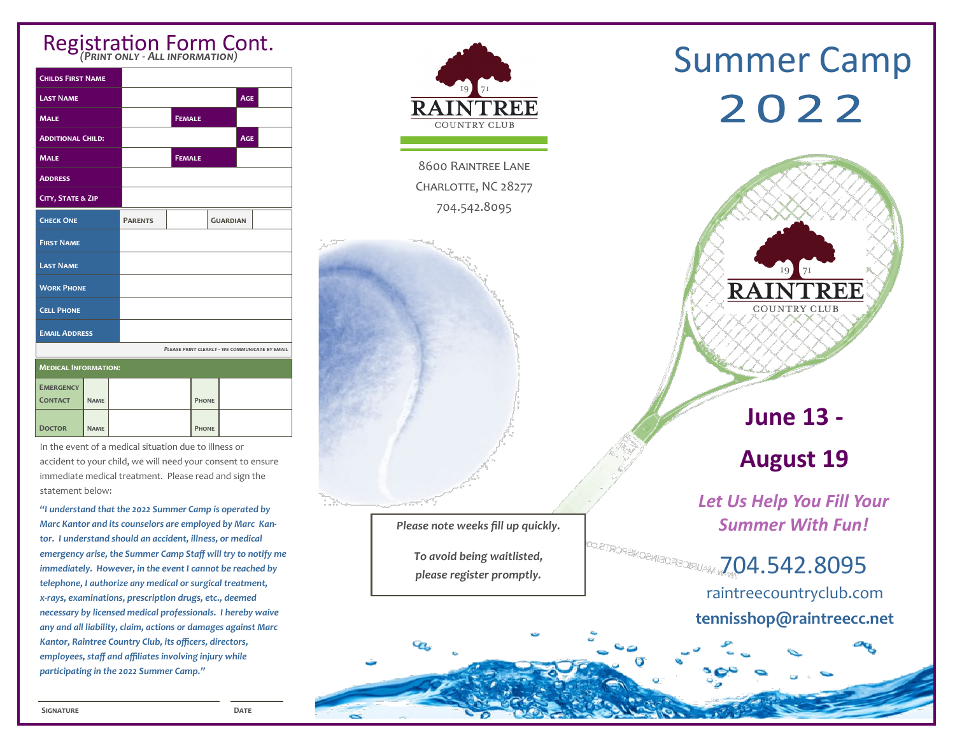#### *(Print only - All information)*

| <b>CHILDS FIRST NAME</b>           |             |                |                                                |                 |            |  |
|------------------------------------|-------------|----------------|------------------------------------------------|-----------------|------------|--|
| <b>LAST NAME</b>                   |             |                |                                                |                 | <b>AGE</b> |  |
| <b>MALE</b>                        |             |                | <b>FEMALE</b>                                  |                 |            |  |
| <b>ADDITIONAL CHILD:</b>           |             |                |                                                |                 | <b>AGE</b> |  |
| <b>MALE</b>                        |             |                | <b>FEMALE</b>                                  |                 |            |  |
| <b>ADDRESS</b>                     |             |                |                                                |                 |            |  |
| CITY, STATE & ZIP                  |             |                |                                                |                 |            |  |
| <b>CHECK ONE</b>                   |             | <b>PARENTS</b> |                                                | <b>GUARDIAN</b> |            |  |
| <b>FIRST NAME</b>                  |             |                |                                                |                 |            |  |
| <b>LAST NAME</b>                   |             |                |                                                |                 |            |  |
| <b>WORK PHONE</b>                  |             |                |                                                |                 |            |  |
| <b>CELL PHONE</b>                  |             |                |                                                |                 |            |  |
| <b>EMAIL ADDRESS</b>               |             |                |                                                |                 |            |  |
|                                    |             |                | PLEASE PRINT CLEARLY - WE COMMUNICATE BY EMAIL |                 |            |  |
| <b>MEDICAL INFORMATION:</b>        |             |                |                                                |                 |            |  |
| <b>EMERGENCY</b><br><b>CONTACT</b> | <b>NAME</b> |                | <b>PHONE</b>                                   |                 |            |  |
| <b>DOCTOR</b>                      | <b>NAME</b> |                | <b>PHONE</b>                                   |                 |            |  |

In the event of a medical situation due to illness or accident to your child, we will need your consent to ensure immediate medical treatment. Please read and sign the statement below:

*"I understand that the 2022 Summer Camp is operated by Marc Kantor and its counselors are employed by Marc Kantor. I understand should an accident, illness, or medical emergency arise, the Summer Camp Staff will try to notify me immediately. However, in the event I cannot be reached by telephone, I authorize any medical or surgical treatment, x-rays, examinations, prescription drugs, etc., deemed necessary by licensed medical professionals. I hereby waive any and all liability, claim, actions or damages against Marc Kantor, Raintree Country Club, its officers, directors, employees, staff and affiliates involving injury while participating in the 2022 Summer Camp."*



8600 Raintree Lane CHARLOTTE, NC 28277 704.542.8095

*Please note weeks fill up quickly.* 

*To avoid being waitlisted, please register promptly.* 

# **Summer Camp** 2022



### **June 13 - August 19**

*Let Us Help You Fill Your Summer With Fun!*

704.542.8095 raintreecountryclub.com **tennisshop@raintreecc.net**